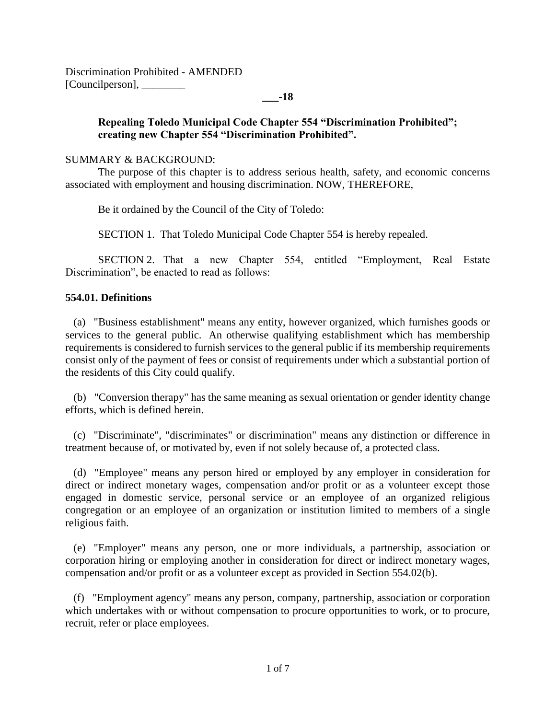#### **\_\_\_-18**

# **Repealing Toledo Municipal Code Chapter 554 "Discrimination Prohibited"; creating new Chapter 554 "Discrimination Prohibited".**

#### SUMMARY & BACKGROUND:

The purpose of this chapter is to address serious health, safety, and economic concerns associated with employment and housing discrimination. NOW, THEREFORE,

Be it ordained by the Council of the City of Toledo:

SECTION 1. That Toledo Municipal Code Chapter 554 is hereby repealed.

SECTION 2. That a new Chapter 554, entitled "Employment, Real Estate Discrimination", be enacted to read as follows:

## **554.01. Definitions**

 (a) "Business establishment" means any entity, however organized, which furnishes goods or services to the general public. An otherwise qualifying establishment which has membership requirements is considered to furnish services to the general public if its membership requirements consist only of the payment of fees or consist of requirements under which a substantial portion of the residents of this City could qualify.

 (b) "Conversion therapy" has the same meaning as sexual orientation or gender identity change efforts, which is defined herein.

 (c) "Discriminate", "discriminates" or discrimination" means any distinction or difference in treatment because of, or motivated by, even if not solely because of, a protected class.

 (d) "Employee" means any person hired or employed by any employer in consideration for direct or indirect monetary wages, compensation and/or profit or as a volunteer except those engaged in domestic service, personal service or an employee of an organized religious congregation or an employee of an organization or institution limited to members of a single religious faith.

 (e) "Employer" means any person, one or more individuals, a partnership, association or corporation hiring or employing another in consideration for direct or indirect monetary wages, compensation and/or profit or as a volunteer except as provided in Section 554.02(b).

 (f) "Employment agency" means any person, company, partnership, association or corporation which undertakes with or without compensation to procure opportunities to work, or to procure, recruit, refer or place employees.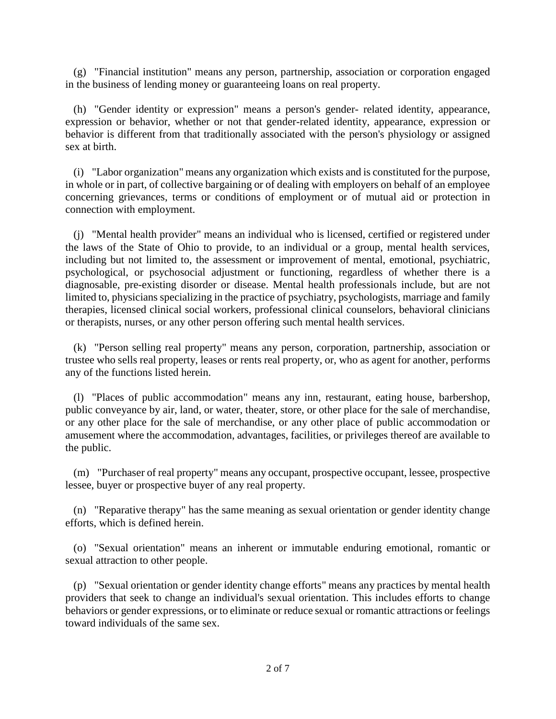(g) "Financial institution" means any person, partnership, association or corporation engaged in the business of lending money or guaranteeing loans on real property.

 (h) "Gender identity or expression" means a person's gender- related identity, appearance, expression or behavior, whether or not that gender-related identity, appearance, expression or behavior is different from that traditionally associated with the person's physiology or assigned sex at birth.

 (i) "Labor organization" means any organization which exists and is constituted for the purpose, in whole or in part, of collective bargaining or of dealing with employers on behalf of an employee concerning grievances, terms or conditions of employment or of mutual aid or protection in connection with employment.

 (j) "Mental health provider" means an individual who is licensed, certified or registered under the laws of the State of Ohio to provide, to an individual or a group, mental health services, including but not limited to, the assessment or improvement of mental, emotional, psychiatric, psychological, or psychosocial adjustment or functioning, regardless of whether there is a diagnosable, pre-existing disorder or disease. Mental health professionals include, but are not limited to, physicians specializing in the practice of psychiatry, psychologists, marriage and family therapies, licensed clinical social workers, professional clinical counselors, behavioral clinicians or therapists, nurses, or any other person offering such mental health services.

 (k) "Person selling real property" means any person, corporation, partnership, association or trustee who sells real property, leases or rents real property, or, who as agent for another, performs any of the functions listed herein.

 (l) "Places of public accommodation" means any inn, restaurant, eating house, barbershop, public conveyance by air, land, or water, theater, store, or other place for the sale of merchandise, or any other place for the sale of merchandise, or any other place of public accommodation or amusement where the accommodation, advantages, facilities, or privileges thereof are available to the public.

 (m) "Purchaser of real property" means any occupant, prospective occupant, lessee, prospective lessee, buyer or prospective buyer of any real property.

 (n) "Reparative therapy" has the same meaning as sexual orientation or gender identity change efforts, which is defined herein.

 (o) "Sexual orientation" means an inherent or immutable enduring emotional, romantic or sexual attraction to other people.

 (p) "Sexual orientation or gender identity change efforts" means any practices by mental health providers that seek to change an individual's sexual orientation. This includes efforts to change behaviors or gender expressions, or to eliminate or reduce sexual or romantic attractions or feelings toward individuals of the same sex.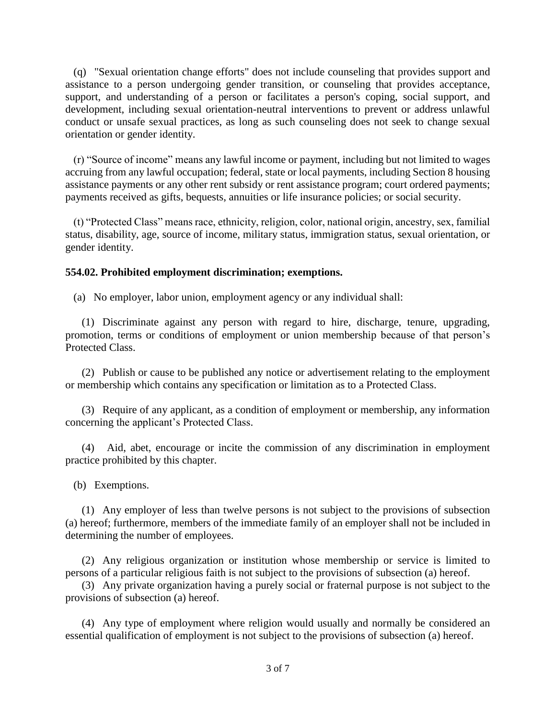(q) "Sexual orientation change efforts" does not include counseling that provides support and assistance to a person undergoing gender transition, or counseling that provides acceptance, support, and understanding of a person or facilitates a person's coping, social support, and development, including sexual orientation-neutral interventions to prevent or address unlawful conduct or unsafe sexual practices, as long as such counseling does not seek to change sexual orientation or gender identity.

 (r) "Source of income" means any lawful income or payment, including but not limited to wages accruing from any lawful occupation; federal, state or local payments, including Section 8 housing assistance payments or any other rent subsidy or rent assistance program; court ordered payments; payments received as gifts, bequests, annuities or life insurance policies; or social security.

 (t) "Protected Class" means race, ethnicity, religion, color, national origin, ancestry, sex, familial status, disability, age, source of income, military status, immigration status, sexual orientation, or gender identity.

#### **554.02. Prohibited employment discrimination; exemptions.**

(a) No employer, labor union, employment agency or any individual shall:

 (1) Discriminate against any person with regard to hire, discharge, tenure, upgrading, promotion, terms or conditions of employment or union membership because of that person's Protected Class.

 (2) Publish or cause to be published any notice or advertisement relating to the employment or membership which contains any specification or limitation as to a Protected Class.

 (3) Require of any applicant, as a condition of employment or membership, any information concerning the applicant's Protected Class.

 (4) Aid, abet, encourage or incite the commission of any discrimination in employment practice prohibited by this chapter.

(b) Exemptions.

 (1) Any employer of less than twelve persons is not subject to the provisions of subsection (a) hereof; furthermore, members of the immediate family of an employer shall not be included in determining the number of employees.

 (2) Any religious organization or institution whose membership or service is limited to persons of a particular religious faith is not subject to the provisions of subsection (a) hereof.

 (3) Any private organization having a purely social or fraternal purpose is not subject to the provisions of subsection (a) hereof.

 (4) Any type of employment where religion would usually and normally be considered an essential qualification of employment is not subject to the provisions of subsection (a) hereof.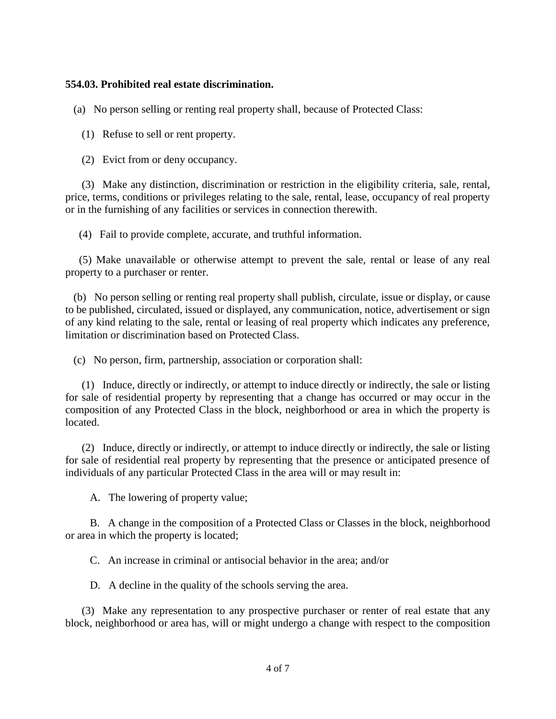## **554.03. Prohibited real estate discrimination.**

(a) No person selling or renting real property shall, because of Protected Class:

(1) Refuse to sell or rent property.

(2) Evict from or deny occupancy.

 (3) Make any distinction, discrimination or restriction in the eligibility criteria, sale, rental, price, terms, conditions or privileges relating to the sale, rental, lease, occupancy of real property or in the furnishing of any facilities or services in connection therewith.

(4) Fail to provide complete, accurate, and truthful information.

 (5) Make unavailable or otherwise attempt to prevent the sale, rental or lease of any real property to a purchaser or renter.

 (b) No person selling or renting real property shall publish, circulate, issue or display, or cause to be published, circulated, issued or displayed, any communication, notice, advertisement or sign of any kind relating to the sale, rental or leasing of real property which indicates any preference, limitation or discrimination based on Protected Class.

(c) No person, firm, partnership, association or corporation shall:

 (1) Induce, directly or indirectly, or attempt to induce directly or indirectly, the sale or listing for sale of residential property by representing that a change has occurred or may occur in the composition of any Protected Class in the block, neighborhood or area in which the property is located.

 (2) Induce, directly or indirectly, or attempt to induce directly or indirectly, the sale or listing for sale of residential real property by representing that the presence or anticipated presence of individuals of any particular Protected Class in the area will or may result in:

A. The lowering of property value;

 B. A change in the composition of a Protected Class or Classes in the block, neighborhood or area in which the property is located;

C. An increase in criminal or antisocial behavior in the area; and/or

D. A decline in the quality of the schools serving the area.

 (3) Make any representation to any prospective purchaser or renter of real estate that any block, neighborhood or area has, will or might undergo a change with respect to the composition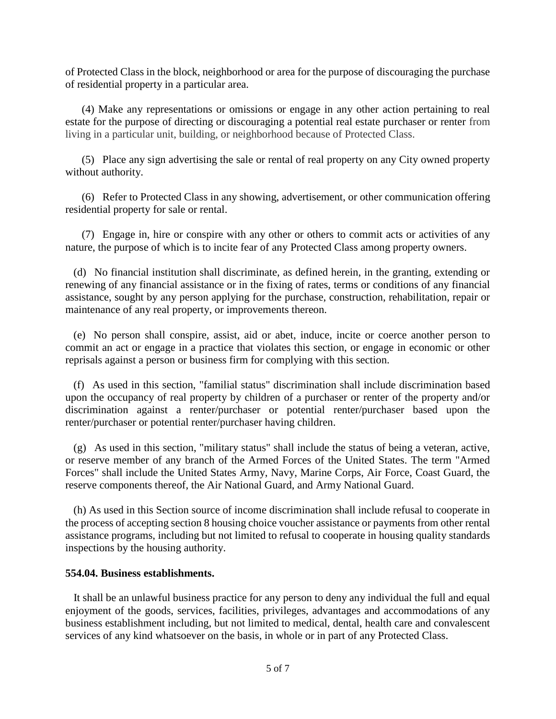of Protected Class in the block, neighborhood or area for the purpose of discouraging the purchase of residential property in a particular area.

 (4) Make any representations or omissions or engage in any other action pertaining to real estate for the purpose of directing or discouraging a potential real estate purchaser or renter from living in a particular unit, building, or neighborhood because of Protected Class.

 (5) Place any sign advertising the sale or rental of real property on any City owned property without authority.

 (6) Refer to Protected Class in any showing, advertisement, or other communication offering residential property for sale or rental.

 (7) Engage in, hire or conspire with any other or others to commit acts or activities of any nature, the purpose of which is to incite fear of any Protected Class among property owners.

 (d) No financial institution shall discriminate, as defined herein, in the granting, extending or renewing of any financial assistance or in the fixing of rates, terms or conditions of any financial assistance, sought by any person applying for the purchase, construction, rehabilitation, repair or maintenance of any real property, or improvements thereon.

 (e) No person shall conspire, assist, aid or abet, induce, incite or coerce another person to commit an act or engage in a practice that violates this section, or engage in economic or other reprisals against a person or business firm for complying with this section.

 (f) As used in this section, "familial status" discrimination shall include discrimination based upon the occupancy of real property by children of a purchaser or renter of the property and/or discrimination against a renter/purchaser or potential renter/purchaser based upon the renter/purchaser or potential renter/purchaser having children.

 (g) As used in this section, "military status" shall include the status of being a veteran, active, or reserve member of any branch of the Armed Forces of the United States. The term "Armed Forces" shall include the United States Army, Navy, Marine Corps, Air Force, Coast Guard, the reserve components thereof, the Air National Guard, and Army National Guard.

 (h) As used in this Section source of income discrimination shall include refusal to cooperate in the process of accepting section 8 housing choice voucher assistance or payments from other rental assistance programs, including but not limited to refusal to cooperate in housing quality standards inspections by the housing authority.

## **554.04. Business establishments.**

 It shall be an unlawful business practice for any person to deny any individual the full and equal enjoyment of the goods, services, facilities, privileges, advantages and accommodations of any business establishment including, but not limited to medical, dental, health care and convalescent services of any kind whatsoever on the basis, in whole or in part of any Protected Class.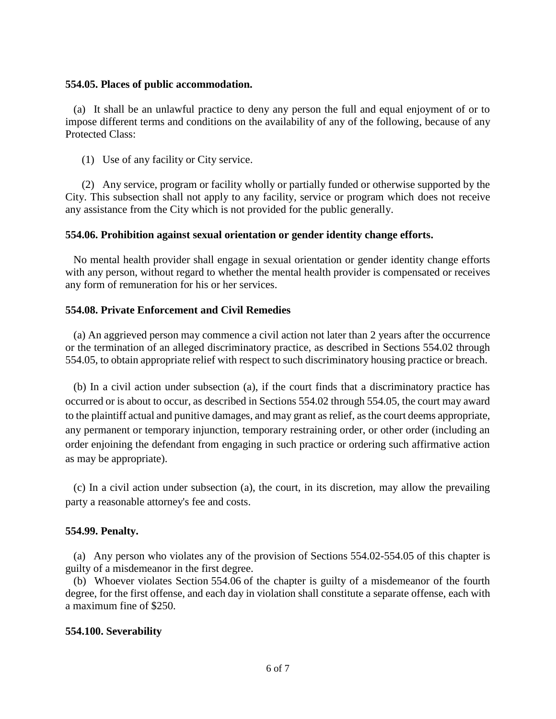#### **554.05. Places of public accommodation.**

 (a) It shall be an unlawful practice to deny any person the full and equal enjoyment of or to impose different terms and conditions on the availability of any of the following, because of any Protected Class:

(1) Use of any facility or City service.

 (2) Any service, program or facility wholly or partially funded or otherwise supported by the City. This subsection shall not apply to any facility, service or program which does not receive any assistance from the City which is not provided for the public generally.

## **554.06. Prohibition against sexual orientation or gender identity change efforts.**

 No mental health provider shall engage in sexual orientation or gender identity change efforts with any person, without regard to whether the mental health provider is compensated or receives any form of remuneration for his or her services.

# **554.08. Private Enforcement and Civil Remedies**

 (a) An aggrieved person may commence a civil action not later than 2 years after the occurrence or the termination of an alleged discriminatory practice, as described in Sections 554.02 through 554.05, to obtain appropriate relief with respect to such discriminatory housing practice or breach.

 (b) In a civil action under subsection (a), if the court finds that a discriminatory practice has occurred or is about to occur, as described in Sections 554.02 through 554.05, the court may award to the plaintiff actual and punitive damages, and may grant as relief, as the court deems appropriate, any permanent or temporary injunction, temporary restraining order, or other order (including an order enjoining the defendant from engaging in such practice or ordering such affirmative action as may be appropriate).

 (c) In a civil action under subsection (a), the court, in its discretion, may allow the prevailing party a reasonable attorney's fee and costs.

## **554.99. Penalty.**

 (a) Any person who violates any of the provision of Sections 554.02-554.05 of this chapter is guilty of a misdemeanor in the first degree.

 (b) Whoever violates Section 554.06 of the chapter is guilty of a misdemeanor of the fourth degree, for the first offense, and each day in violation shall constitute a separate offense, each with a maximum fine of \$250.

## **554.100. Severability**